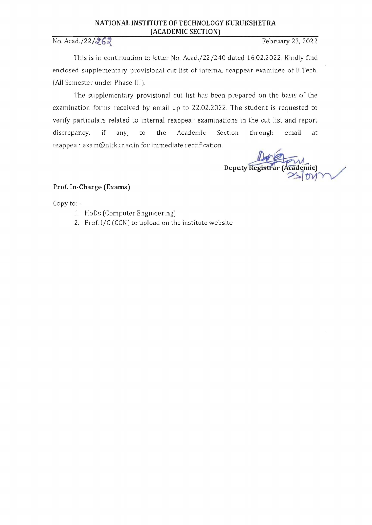### **NATIONAL INSTITUTE OF TECHNOLOGY KURUKSHETRA (ACADEMIC SECTION)**

# No. Acad./22/262

This is in continuation to letter No. *Acad.j22/240* dated 16.02.2022. KindJy find enclosed supplementary provisional cut list of internal reappear examinee of B.Tech. (All Semester under Phase-III).

The supplementary provisional cut list has been prepared on the basis of the examination forms received by email up to 22.02.2022. The student is requested to verify particulars related to internal reappear examinations in the cut list and report discrepancy, if any, to the Academic Section through email at reappear\_exam@nitkkr.ac.in for immediate rectification.

Deputy Registrar (Academic)  $\geq$ DV $\gamma$ 

# **Prof. In-Charge (Exams)**

Copy to:

- 1. HoDs (Computer Engineering)
- 2. Prof. I/C (CCN) to upload on the institute website